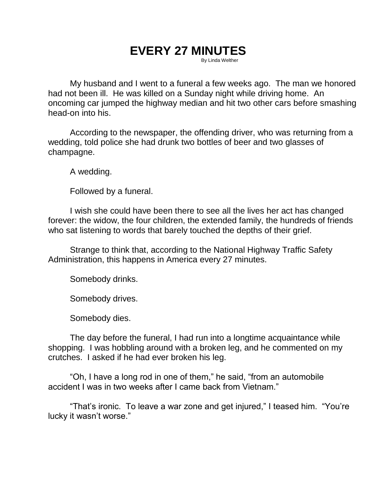# **EVERY 27 MINUTES**

By Linda Welther

My husband and I went to a funeral a few weeks ago. The man we honored had not been ill. He was killed on a Sunday night while driving home. An oncoming car jumped the highway median and hit two other cars before smashing head-on into his.

According to the newspaper, the offending driver, who was returning from a wedding, told police she had drunk two bottles of beer and two glasses of champagne.

A wedding.

Followed by a funeral.

I wish she could have been there to see all the lives her act has changed forever: the widow, the four children, the extended family, the hundreds of friends who sat listening to words that barely touched the depths of their grief.

Strange to think that, according to the National Highway Traffic Safety Administration, this happens in America every 27 minutes.

Somebody drinks.

Somebody drives.

Somebody dies.

The day before the funeral, I had run into a longtime acquaintance while shopping. I was hobbling around with a broken leg, and he commented on my crutches. I asked if he had ever broken his leg.

"Oh, I have a long rod in one of them," he said, "from an automobile accident I was in two weeks after I came back from Vietnam."

"That's ironic. To leave a war zone and get injured," I teased him. "You're lucky it wasn't worse."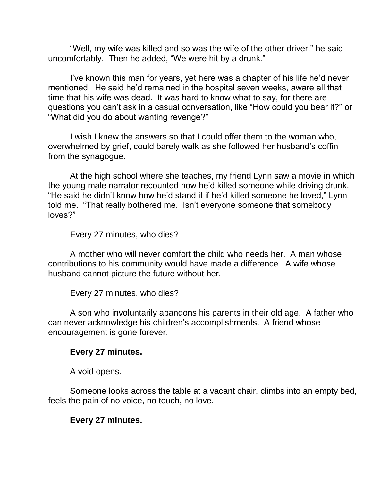"Well, my wife was killed and so was the wife of the other driver," he said uncomfortably. Then he added, "We were hit by a drunk."

I've known this man for years, yet here was a chapter of his life he'd never mentioned. He said he'd remained in the hospital seven weeks, aware all that time that his wife was dead. It was hard to know what to say, for there are questions you can't ask in a casual conversation, like "How could you bear it?" or "What did you do about wanting revenge?"

I wish I knew the answers so that I could offer them to the woman who, overwhelmed by grief, could barely walk as she followed her husband's coffin from the synagogue.

At the high school where she teaches, my friend Lynn saw a movie in which the young male narrator recounted how he'd killed someone while driving drunk. "He said he didn't know how he'd stand it if he'd killed someone he loved," Lynn told me. "That really bothered me. Isn't everyone someone that somebody loves?"

Every 27 minutes, who dies?

A mother who will never comfort the child who needs her. A man whose contributions to his community would have made a difference. A wife whose husband cannot picture the future without her.

Every 27 minutes, who dies?

A son who involuntarily abandons his parents in their old age. A father who can never acknowledge his children's accomplishments. A friend whose encouragement is gone forever.

#### **Every 27 minutes.**

A void opens.

Someone looks across the table at a vacant chair, climbs into an empty bed, feels the pain of no voice, no touch, no love.

#### **Every 27 minutes.**